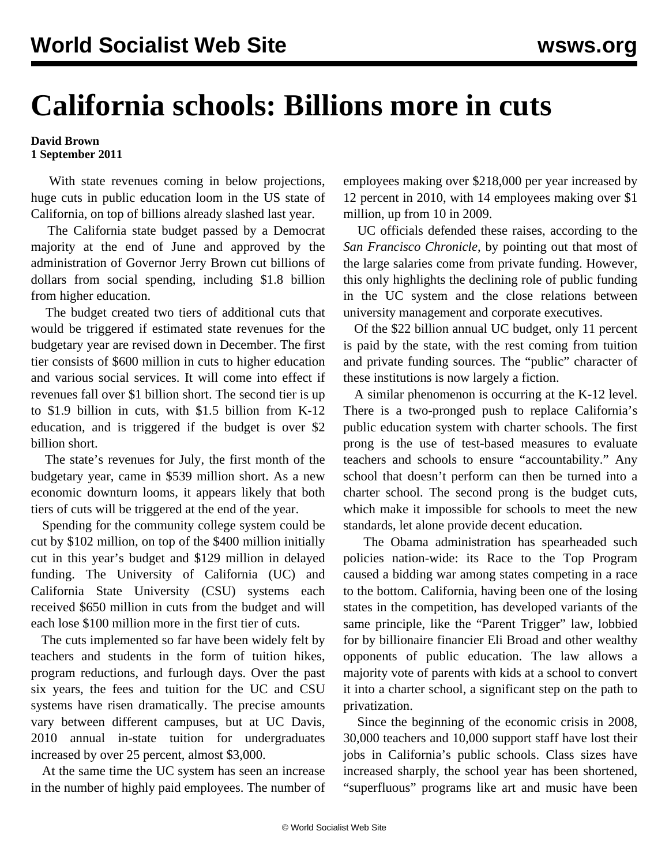## **California schools: Billions more in cuts**

## **David Brown 1 September 2011**

 With state revenues coming in below projections, huge cuts in public education loom in the US state of California, on top of billions already slashed last year.

 The California state budget passed by a Democrat majority at the end of June and approved by the administration of Governor Jerry Brown cut billions of dollars from social spending, including \$1.8 billion from higher education.

 The budget created two tiers of additional cuts that would be triggered if estimated state revenues for the budgetary year are revised down in December. The first tier consists of \$600 million in cuts to higher education and various social services. It will come into effect if revenues fall over \$1 billion short. The second tier is up to \$1.9 billion in cuts, with \$1.5 billion from K-12 education, and is triggered if the budget is over \$2 billion short.

 The state's revenues for July, the first month of the budgetary year, came in \$539 million short. As a new economic downturn looms, it appears likely that both tiers of cuts will be triggered at the end of the year.

 Spending for the community college system could be cut by \$102 million, on top of the \$400 million initially cut in this year's budget and \$129 million in delayed funding. The University of California (UC) and California State University (CSU) systems each received \$650 million in cuts from the budget and will each lose \$100 million more in the first tier of cuts.

 The cuts implemented so far have been widely felt by teachers and students in the form of tuition hikes, program reductions, and furlough days. Over the past six years, the fees and tuition for the UC and CSU systems have risen dramatically. The precise amounts vary between different campuses, but at UC Davis, 2010 annual in-state tuition for undergraduates increased by over 25 percent, almost \$3,000.

 At the same time the UC system has seen an increase in the number of highly paid employees. The number of employees making over \$218,000 per year increased by 12 percent in 2010, with 14 employees making over \$1 million, up from 10 in 2009.

 UC officials defended these raises, according to the *San Francisco Chronicle*, by pointing out that most of the large salaries come from private funding. However, this only highlights the declining role of public funding in the UC system and the close relations between university management and corporate executives.

 Of the \$22 billion annual UC budget, only 11 percent is paid by the state, with the rest coming from tuition and private funding sources. The "public" character of these institutions is now largely a fiction.

 A similar phenomenon is occurring at the K-12 level. There is a two-pronged push to replace California's public education system with charter schools. The first prong is the use of test-based measures to evaluate teachers and schools to ensure "accountability." Any school that doesn't perform can then be turned into a charter school. The second prong is the budget cuts, which make it impossible for schools to meet the new standards, let alone provide decent education.

 The Obama administration has spearheaded such policies nation-wide: its Race to the Top Program caused a bidding war among states competing in a race to the bottom. California, having been one of the losing states in the competition, has developed variants of the same principle, like the "Parent Trigger" law, lobbied for by billionaire financier Eli Broad and other wealthy opponents of public education. The law allows a majority vote of parents with kids at a school to convert it into a charter school, a significant step on the path to privatization.

 Since the beginning of the economic crisis in 2008, 30,000 teachers and 10,000 support staff have lost their jobs in California's public schools. Class sizes have increased sharply, the school year has been shortened, "superfluous" programs like art and music have been